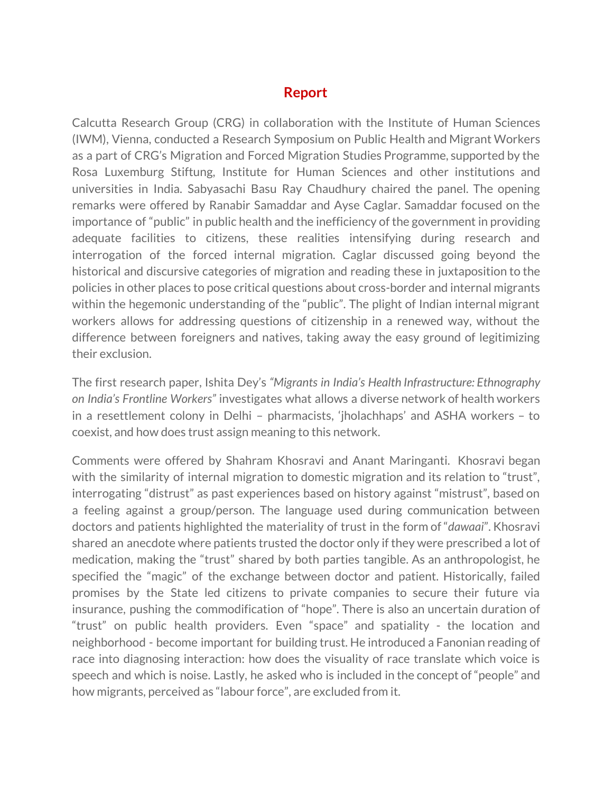## **Report**

Calcutta Research Group (CRG) in collaboration with the Institute of Human Sciences (IWM), Vienna, conducted a Research Symposium on Public Health and Migrant Workers as a part of CRG's Migration and Forced Migration Studies Programme, supported by the Rosa Luxemburg Stiftung, Institute for Human Sciences and other institutions and universities in India. Sabyasachi Basu Ray Chaudhury chaired the panel. The opening remarks were offered by Ranabir Samaddar and Ayse Caglar. Samaddar focused on the importance of "public" in public health and the inefficiency of the government in providing adequate facilities to citizens, these realities intensifying during research and interrogation of the forced internal migration. Caglar discussed going beyond the historical and discursive categories of migration and reading these in juxtaposition to the policies in other places to pose critical questions about cross-border and internal migrants within the hegemonic understanding of the "public". The plight of Indian internal migrant workers allows for addressing questions of citizenship in a renewed way, without the difference between foreigners and natives, taking away the easy ground of legitimizing their exclusion.

The first research paper, Ishita Dey's *"Migrants in India's Health Infrastructure: Ethnography on India's Frontline Workers"* investigates what allows a diverse network of health workers in a resettlement colony in Delhi – pharmacists, 'jholachhaps' and ASHA workers – to coexist, and how does trust assign meaning to this network.

Comments were offered by Shahram Khosravi and Anant Maringanti. Khosravi began with the similarity of internal migration to domestic migration and its relation to "trust", interrogating "distrust" as past experiences based on history against "mistrust", based on a feeling against a group/person. The language used during communication between doctors and patients highlighted the materiality of trust in the form of "*dawaai*". Khosravi shared an anecdote where patients trusted the doctor only if they were prescribed a lot of medication, making the "trust" shared by both parties tangible. As an anthropologist, he specified the "magic" of the exchange between doctor and patient. Historically, failed promises by the State led citizens to private companies to secure their future via insurance, pushing the commodification of "hope". There is also an uncertain duration of "trust" on public health providers. Even "space" and spatiality - the location and neighborhood - become important for building trust. He introduced a Fanonian reading of race into diagnosing interaction: how does the visuality of race translate which voice is speech and which is noise. Lastly, he asked who is included in the concept of "people" and how migrants, perceived as "labour force", are excluded from it.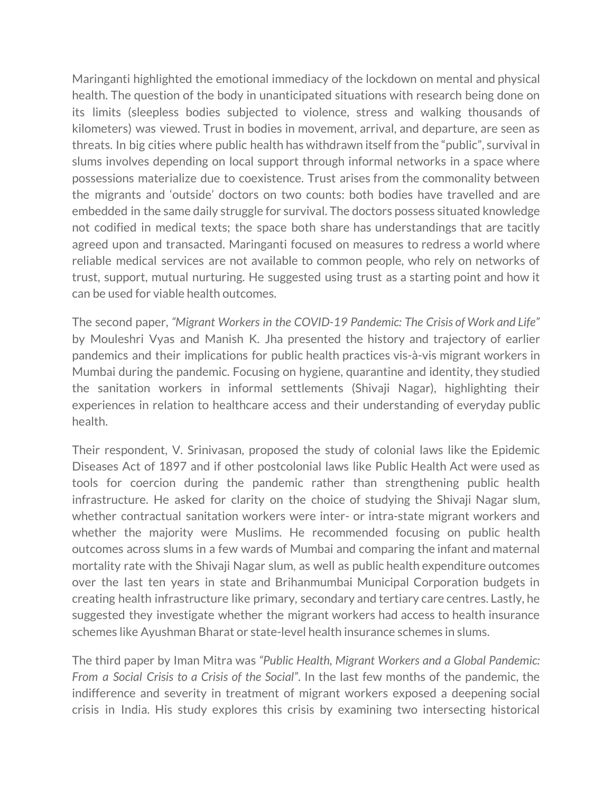Maringanti highlighted the emotional immediacy of the lockdown on mental and physical health. The question of the body in unanticipated situations with research being done on its limits (sleepless bodies subjected to violence, stress and walking thousands of kilometers) was viewed. Trust in bodies in movement, arrival, and departure, are seen as threats. In big cities where public health has withdrawn itself from the "public", survival in slums involves depending on local support through informal networks in a space where possessions materialize due to coexistence. Trust arises from the commonality between the migrants and 'outside' doctors on two counts: both bodies have travelled and are embedded in the same daily struggle for survival. The doctors possess situated knowledge not codified in medical texts; the space both share has understandings that are tacitly agreed upon and transacted. Maringanti focused on measures to redress a world where reliable medical services are not available to common people, who rely on networks of trust, support, mutual nurturing. He suggested using trust as a starting point and how it can be used for viable health outcomes.

The second paper, *"Migrant Workers in the COVID-19 Pandemic: The Crisis of Work and Life"* by Mouleshri Vyas and Manish K. Jha presented the history and trajectory of earlier pandemics and their implications for public health practices vis-à-vis migrant workers in Mumbai during the pandemic. Focusing on hygiene, quarantine and identity, they studied the sanitation workers in informal settlements (Shivaji Nagar), highlighting their experiences in relation to healthcare access and their understanding of everyday public health.

Their respondent, V. Srinivasan, proposed the study of colonial laws like the Epidemic Diseases Act of 1897 and if other postcolonial laws like Public Health Act were used as tools for coercion during the pandemic rather than strengthening public health infrastructure. He asked for clarity on the choice of studying the Shivaji Nagar slum, whether contractual sanitation workers were inter- or intra-state migrant workers and whether the majority were Muslims. He recommended focusing on public health outcomes across slums in a few wards of Mumbai and comparing the infant and maternal mortality rate with the Shivaji Nagar slum, as well as public health expenditure outcomes over the last ten years in state and Brihanmumbai Municipal Corporation budgets in creating health infrastructure like primary, secondary and tertiary care centres. Lastly, he suggested they investigate whether the migrant workers had access to health insurance schemes like Ayushman Bharat or state-level health insurance schemes in slums.

The third paper by Iman Mitra was *"Public Health, Migrant Workers and a Global Pandemic: From a Social Crisis to a Crisis of the Social"*. In the last few months of the pandemic, the indifference and severity in treatment of migrant workers exposed a deepening social crisis in India. His study explores this crisis by examining two intersecting historical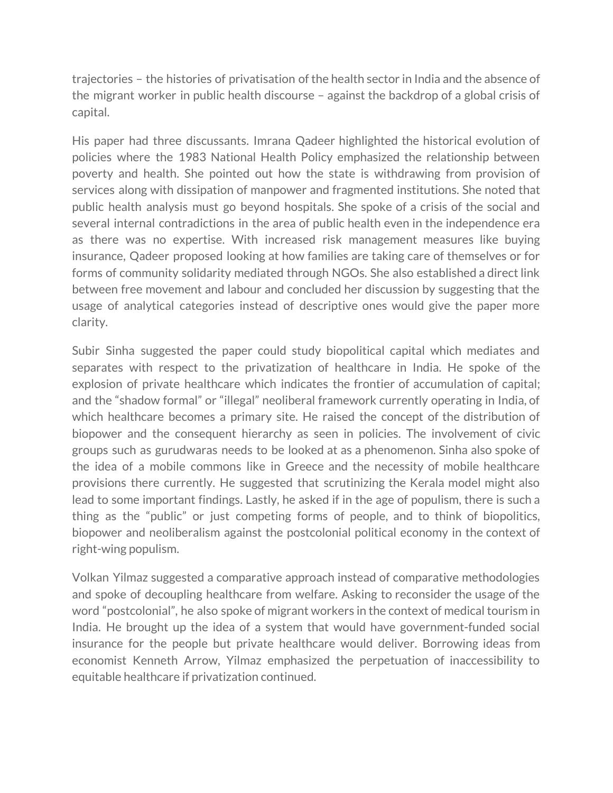trajectories – the histories of privatisation of the health sector in India and the absence of the migrant worker in public health discourse – against the backdrop of a global crisis of capital.

His paper had three discussants. Imrana Qadeer highlighted the historical evolution of policies where the 1983 National Health Policy emphasized the relationship between poverty and health. She pointed out how the state is withdrawing from provision of services along with dissipation of manpower and fragmented institutions. She noted that public health analysis must go beyond hospitals. She spoke of a crisis of the social and several internal contradictions in the area of public health even in the independence era as there was no expertise. With increased risk management measures like buying insurance, Qadeer proposed looking at how families are taking care of themselves or for forms of community solidarity mediated through NGOs. She also established a direct link between free movement and labour and concluded her discussion by suggesting that the usage of analytical categories instead of descriptive ones would give the paper more clarity.

Subir Sinha suggested the paper could study biopolitical capital which mediates and separates with respect to the privatization of healthcare in India. He spoke of the explosion of private healthcare which indicates the frontier of accumulation of capital; and the "shadow formal" or "illegal" neoliberal framework currently operating in India, of which healthcare becomes a primary site. He raised the concept of the distribution of biopower and the consequent hierarchy as seen in policies. The involvement of civic groups such as gurudwaras needs to be looked at as a phenomenon. Sinha also spoke of the idea of a mobile commons like in Greece and the necessity of mobile healthcare provisions there currently. He suggested that scrutinizing the Kerala model might also lead to some important findings. Lastly, he asked if in the age of populism, there is such a thing as the "public" or just competing forms of people, and to think of biopolitics, biopower and neoliberalism against the postcolonial political economy in the context of right-wing populism.

Volkan Yilmaz suggested a comparative approach instead of comparative methodologies and spoke of decoupling healthcare from welfare. Asking to reconsider the usage of the word "postcolonial", he also spoke of migrant workers in the context of medical tourism in India. He brought up the idea of a system that would have government-funded social insurance for the people but private healthcare would deliver. Borrowing ideas from economist Kenneth Arrow, Yilmaz emphasized the perpetuation of inaccessibility to equitable healthcare if privatization continued.